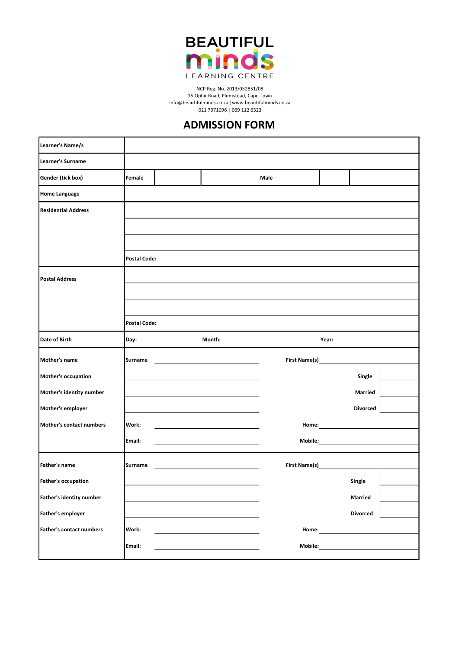

## ADMISSION FORM

|                                 |                | <b>BEAUTIFUL</b><br>minds<br>LEARNING CENTRE<br>NCP Reg. No. 2013/052851/08<br>15 Ophir Road, Plumstead, Cape Town<br>info@beautifulminds.co.za  www.beautifulminds.co.za<br>021 7971096   069 112 6323 |                      |       |                 |  |
|---------------------------------|----------------|---------------------------------------------------------------------------------------------------------------------------------------------------------------------------------------------------------|----------------------|-------|-----------------|--|
|                                 |                | <b>ADMISSION FORM</b>                                                                                                                                                                                   |                      |       |                 |  |
| Learner's Name/s                |                |                                                                                                                                                                                                         |                      |       |                 |  |
| <b>Learner's Surname</b>        |                |                                                                                                                                                                                                         |                      |       |                 |  |
| Gender (tick box)               | Female         |                                                                                                                                                                                                         | Male                 |       |                 |  |
| <b>Home Language</b>            |                |                                                                                                                                                                                                         |                      |       |                 |  |
| <b>Residential Address</b>      |                |                                                                                                                                                                                                         |                      |       |                 |  |
|                                 |                |                                                                                                                                                                                                         |                      |       |                 |  |
|                                 |                |                                                                                                                                                                                                         |                      |       |                 |  |
|                                 | Postal Code:   |                                                                                                                                                                                                         |                      |       |                 |  |
| <b>Postal Address</b>           |                |                                                                                                                                                                                                         |                      |       |                 |  |
|                                 |                |                                                                                                                                                                                                         |                      |       |                 |  |
|                                 |                |                                                                                                                                                                                                         |                      |       |                 |  |
|                                 | Postal Code:   |                                                                                                                                                                                                         |                      |       |                 |  |
| Date of Birth                   | Day:           | Month:                                                                                                                                                                                                  |                      | Year: |                 |  |
| Mother's name                   | Surname        |                                                                                                                                                                                                         | <b>First Name(s)</b> |       |                 |  |
| <b>Mother's occupation</b>      |                |                                                                                                                                                                                                         |                      |       | Single          |  |
| Mother's identity number        |                |                                                                                                                                                                                                         |                      |       | <b>Married</b>  |  |
| Mother's employer               |                |                                                                                                                                                                                                         |                      |       | <b>Divorced</b> |  |
| Mother's contact numbers        | Work:          |                                                                                                                                                                                                         | Home:                |       |                 |  |
|                                 | Email:         |                                                                                                                                                                                                         | <b>Mobile:</b>       |       |                 |  |
|                                 |                |                                                                                                                                                                                                         |                      |       |                 |  |
| <b>Father's name</b>            | <b>Surname</b> |                                                                                                                                                                                                         | <b>First Name(s)</b> |       |                 |  |
| <b>Father's occupation</b>      |                |                                                                                                                                                                                                         |                      |       | Single          |  |
| <b>Father's identity number</b> |                |                                                                                                                                                                                                         |                      |       | <b>Married</b>  |  |
| <b>Father's employer</b>        |                |                                                                                                                                                                                                         |                      |       | <b>Divorced</b> |  |
| <b>Father's contact numbers</b> | Work:          |                                                                                                                                                                                                         | Home:                |       |                 |  |
|                                 | Email:         |                                                                                                                                                                                                         | <b>Mobile:</b>       |       |                 |  |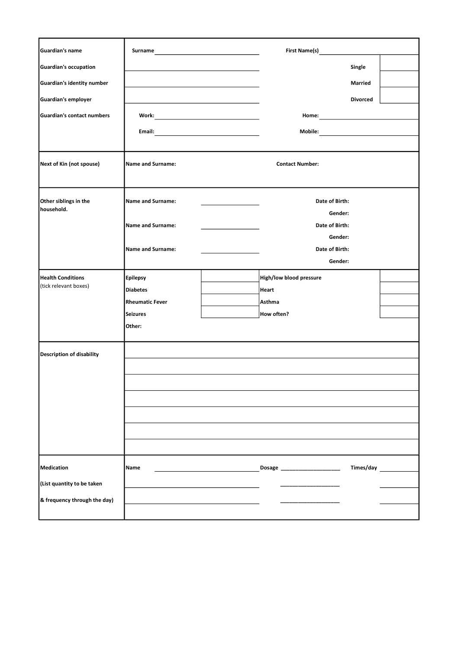| Surname<br><u> 1980 - Johann Barbara, martxa amerikan p</u><br>Single<br><u> 1989 - Johann Barn, amerikansk politiker (d. 1989)</u><br>Married<br><b>Divorced</b><br>Name and Surname:<br><b>Contact Number:</b><br>Name and Surname:<br>Date of Birth:<br>Gender:<br>Name and Surname:<br>Date of Birth:<br>Gender:<br>Date of Birth:<br>Name and Surname:<br>Gender:<br>High/low blood pressure<br><b>Epilepsy</b><br><b>Diabetes</b><br>Heart<br><b>Rheumatic Fever</b><br>Asthma<br>How often?<br><b>Seizures</b><br>Other:<br>Dosage _______________________<br>Name |  |  |  |
|---------------------------------------------------------------------------------------------------------------------------------------------------------------------------------------------------------------------------------------------------------------------------------------------------------------------------------------------------------------------------------------------------------------------------------------------------------------------------------------------------------------------------------------------------------------------------|--|--|--|
| <b>Guardian's name</b><br><b>Guardian's occupation</b><br><b>Guardian's identity number</b><br><b>Guardian's employer</b><br><b>Guardian's contact numbers</b><br>Next of Kin (not spouse)<br>Other siblings in the<br>household.<br><b>Health Conditions</b><br>(tick relevant boxes)<br><b>Description of disability</b><br><b>Medication</b><br>(List quantity to be taken<br>& frequency through the day)                                                                                                                                                             |  |  |  |
|                                                                                                                                                                                                                                                                                                                                                                                                                                                                                                                                                                           |  |  |  |
|                                                                                                                                                                                                                                                                                                                                                                                                                                                                                                                                                                           |  |  |  |
|                                                                                                                                                                                                                                                                                                                                                                                                                                                                                                                                                                           |  |  |  |
|                                                                                                                                                                                                                                                                                                                                                                                                                                                                                                                                                                           |  |  |  |
|                                                                                                                                                                                                                                                                                                                                                                                                                                                                                                                                                                           |  |  |  |
|                                                                                                                                                                                                                                                                                                                                                                                                                                                                                                                                                                           |  |  |  |
|                                                                                                                                                                                                                                                                                                                                                                                                                                                                                                                                                                           |  |  |  |
|                                                                                                                                                                                                                                                                                                                                                                                                                                                                                                                                                                           |  |  |  |
|                                                                                                                                                                                                                                                                                                                                                                                                                                                                                                                                                                           |  |  |  |
|                                                                                                                                                                                                                                                                                                                                                                                                                                                                                                                                                                           |  |  |  |
|                                                                                                                                                                                                                                                                                                                                                                                                                                                                                                                                                                           |  |  |  |
|                                                                                                                                                                                                                                                                                                                                                                                                                                                                                                                                                                           |  |  |  |
|                                                                                                                                                                                                                                                                                                                                                                                                                                                                                                                                                                           |  |  |  |
|                                                                                                                                                                                                                                                                                                                                                                                                                                                                                                                                                                           |  |  |  |
|                                                                                                                                                                                                                                                                                                                                                                                                                                                                                                                                                                           |  |  |  |
|                                                                                                                                                                                                                                                                                                                                                                                                                                                                                                                                                                           |  |  |  |
|                                                                                                                                                                                                                                                                                                                                                                                                                                                                                                                                                                           |  |  |  |
|                                                                                                                                                                                                                                                                                                                                                                                                                                                                                                                                                                           |  |  |  |
|                                                                                                                                                                                                                                                                                                                                                                                                                                                                                                                                                                           |  |  |  |
|                                                                                                                                                                                                                                                                                                                                                                                                                                                                                                                                                                           |  |  |  |
|                                                                                                                                                                                                                                                                                                                                                                                                                                                                                                                                                                           |  |  |  |
|                                                                                                                                                                                                                                                                                                                                                                                                                                                                                                                                                                           |  |  |  |
|                                                                                                                                                                                                                                                                                                                                                                                                                                                                                                                                                                           |  |  |  |
|                                                                                                                                                                                                                                                                                                                                                                                                                                                                                                                                                                           |  |  |  |
|                                                                                                                                                                                                                                                                                                                                                                                                                                                                                                                                                                           |  |  |  |
|                                                                                                                                                                                                                                                                                                                                                                                                                                                                                                                                                                           |  |  |  |
|                                                                                                                                                                                                                                                                                                                                                                                                                                                                                                                                                                           |  |  |  |
|                                                                                                                                                                                                                                                                                                                                                                                                                                                                                                                                                                           |  |  |  |
|                                                                                                                                                                                                                                                                                                                                                                                                                                                                                                                                                                           |  |  |  |
|                                                                                                                                                                                                                                                                                                                                                                                                                                                                                                                                                                           |  |  |  |
|                                                                                                                                                                                                                                                                                                                                                                                                                                                                                                                                                                           |  |  |  |
|                                                                                                                                                                                                                                                                                                                                                                                                                                                                                                                                                                           |  |  |  |
|                                                                                                                                                                                                                                                                                                                                                                                                                                                                                                                                                                           |  |  |  |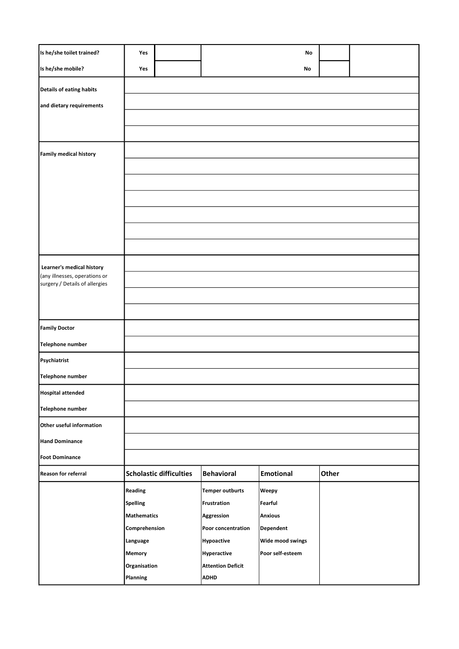| Is he/she toilet trained?                                  | Yes                     |                                  | No               |       |  |
|------------------------------------------------------------|-------------------------|----------------------------------|------------------|-------|--|
| Is he/she mobile?                                          | Yes                     |                                  | No               |       |  |
| <b>Details of eating habits</b>                            |                         |                                  |                  |       |  |
| and dietary requirements                                   |                         |                                  |                  |       |  |
|                                                            |                         |                                  |                  |       |  |
|                                                            |                         |                                  |                  |       |  |
|                                                            |                         |                                  |                  |       |  |
| <b>Family medical history</b>                              |                         |                                  |                  |       |  |
|                                                            |                         |                                  |                  |       |  |
|                                                            |                         |                                  |                  |       |  |
|                                                            |                         |                                  |                  |       |  |
|                                                            |                         |                                  |                  |       |  |
|                                                            |                         |                                  |                  |       |  |
|                                                            |                         |                                  |                  |       |  |
| Learner's medical history<br>(any illnesses, operations or |                         |                                  |                  |       |  |
| surgery / Details of allergies                             |                         |                                  |                  |       |  |
|                                                            |                         |                                  |                  |       |  |
|                                                            |                         |                                  |                  |       |  |
| <b>Family Doctor</b>                                       |                         |                                  |                  |       |  |
| Telephone number                                           |                         |                                  |                  |       |  |
| Psychiatrist                                               |                         |                                  |                  |       |  |
| Telephone number                                           |                         |                                  |                  |       |  |
| <b>Hospital attended</b>                                   |                         |                                  |                  |       |  |
| Telephone number                                           |                         |                                  |                  |       |  |
| Other useful information                                   |                         |                                  |                  |       |  |
| <b>Hand Dominance</b>                                      |                         |                                  |                  |       |  |
| <b>Foot Dominance</b>                                      |                         |                                  |                  |       |  |
| <b>Reason for referral</b>                                 | Scholastic difficulties | Behavioral                       | Emotional        | Other |  |
|                                                            | Reading                 | Temper outburts                  | Weepy            |       |  |
|                                                            | Spelling                | Frustration                      | Fearful          |       |  |
|                                                            | <b>Mathematics</b>      | Aggression                       | Anxious          |       |  |
|                                                            | Comprehension           | Poor concentration               | Dependent        |       |  |
|                                                            | Language                | Hypoactive                       | Wide mood swings |       |  |
|                                                            | Memory<br>Organisation  | Hyperactive<br>Attention Deficit | Poor self-esteem |       |  |
|                                                            | Planning                | <b>ADHD</b>                      |                  |       |  |
|                                                            |                         |                                  |                  |       |  |